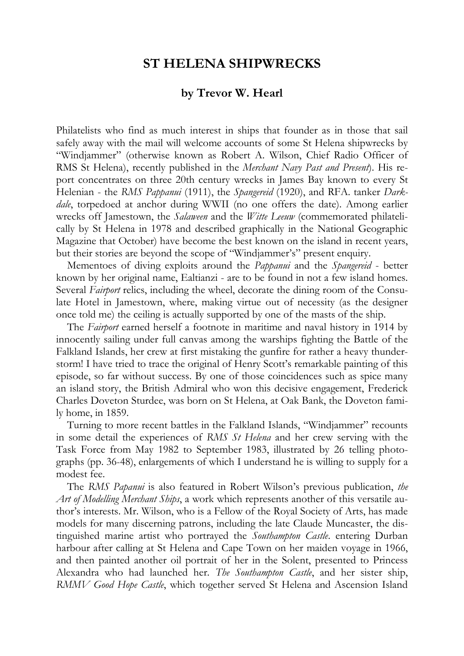## **ST HELENA SHIPWRECKS**

## **by Trevor W. Hearl**

Philatelists who find as much interest in ships that founder as in those that sail safely away with the mail will welcome accounts of some St Helena shipwrecks by "Windjammer" (otherwise known as Robert A. Wilson, Chief Radio Officer of RMS St Helena), recently published in the *Merchant Navy Past and Present*). His report concentrates on three 20th century wrecks in James Bay known to every St Helenian - the *RMS Pappanui* (1911), the *Spangereid* (1920), and RFA. tanker *Darkdale*, torpedoed at anchor during WWII (no one offers the date). Among earlier wrecks off Jamestown, the *Salaween* and the *Witte Leeuw* (commemorated philatelically by St Helena in 1978 and described graphically in the National Geographic Magazine that October) have become the best known on the island in recent years, but their stories are beyond the scope of "Windjammer's" present enquiry.

Mementoes of diving exploits around the *Pappanui* and the *Spangereid* - better known by her original name, Ealtianzi - are to be found in not a few island homes. Several *Fairport* relics, including the wheel, decorate the dining room of the Consulate Hotel in Jamestown, where, making virtue out of necessity (as the designer once told me) the ceiling is actually supported by one of the masts of the ship.

The *Fairport* earned herself a footnote in maritime and naval history in 1914 by innocently sailing under full canvas among the warships fighting the Battle of the Falkland Islands, her crew at first mistaking the gunfire for rather a heavy thunderstorm! I have tried to trace the original of Henry Scott's remarkable painting of this episode, so far without success. By one of those coincidences such as spice many an island story, the British Admiral who won this decisive engagement, Frederick Charles Doveton Sturdee, was born on St Helena, at Oak Bank, the Doveton family home, in 1859.

Turning to more recent battles in the Falkland Islands, "Windjammer" recounts in some detail the experiences of *RMS St Helena* and her crew serving with the Task Force from May 1982 to September 1983, illustrated by 26 telling photographs (pp. 36-48), enlargements of which I understand he is willing to supply for a modest fee.

The *RMS Papanui* is also featured in Robert Wilson's previous publication, *the Art of Modelling Merchant Ships*, a work which represents another of this versatile author's interests. Mr. Wilson, who is a Fellow of the Royal Society of Arts, has made models for many discerning patrons, including the late Claude Muncaster, the distinguished marine artist who portrayed the *Southampton Castle*. entering Durban harbour after calling at St Helena and Cape Town on her maiden voyage in 1966, and then painted another oil portrait of her in the Solent, presented to Princess Alexandra who had launched her. *The Southampton Castle*, and her sister ship, *RMMV Good Hope Castle*, which together served St Helena and Ascension Island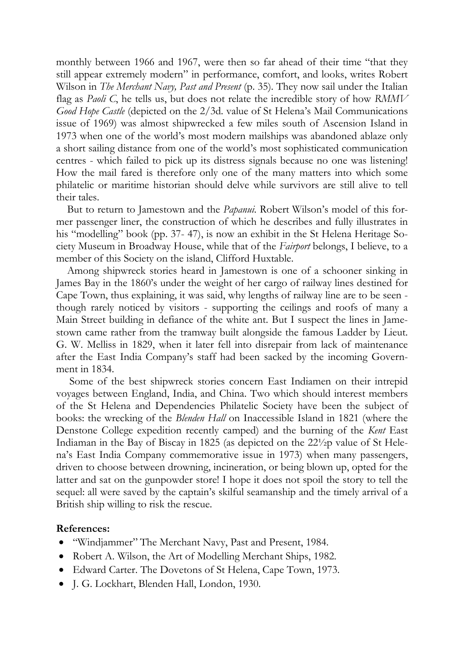monthly between 1966 and 1967, were then so far ahead of their time "that they still appear extremely modern" in performance, comfort, and looks, writes Robert Wilson in *The Merchant Navy, Past and Present* (p. 35). They now sail under the Italian flag as *Paoli C*, he tells us, but does not relate the incredible story of how *RMMV Good Hope Castle* (depicted on the 2/3d. value of St Helena's Mail Communications issue of 1969) was almost shipwrecked a few miles south of Ascension Island in 1973 when one of the world's most modern mailships was abandoned ablaze only a short sailing distance from one of the world's most sophisticated communication centres - which failed to pick up its distress signals because no one was listening! How the mail fared is therefore only one of the many matters into which some philatelic or maritime historian should delve while survivors are still alive to tell their tales.

But to return to Jamestown and the *Papanui*. Robert Wilson's model of this former passenger liner, the construction of which he describes and fully illustrates in his "modelling" book (pp. 37- 47), is now an exhibit in the St Helena Heritage Society Museum in Broadway House, while that of the *Fairport* belongs, I believe, to a member of this Society on the island, Clifford Huxtable.

Among shipwreck stories heard in Jamestown is one of a schooner sinking in James Bay in the 1860's under the weight of her cargo of railway lines destined for Cape Town, thus explaining, it was said, why lengths of railway line are to be seen though rarely noticed by visitors - supporting the ceilings and roofs of many a Main Street building in defiance of the white ant. But I suspect the lines in Jamestown came rather from the tramway built alongside the famous Ladder by Lieut. G. W. Melliss in 1829, when it later fell into disrepair from lack of maintenance after the East India Company's staff had been sacked by the incoming Government in 1834.

Some of the best shipwreck stories concern East Indiamen on their intrepid voyages between England, India, and China. Two which should interest members of the St Helena and Dependencies Philatelic Society have been the subject of books: the wrecking of the *Blenden Hall* on Inaccessible Island in 1821 (where the Denstone College expedition recently camped) and the burning of the *Kent* East Indiaman in the Bay of Biscay in 1825 (as depicted on the 22½p value of St Helena's East India Company commemorative issue in 1973) when many passengers, driven to choose between drowning, incineration, or being blown up, opted for the latter and sat on the gunpowder store! I hope it does not spoil the story to tell the sequel: all were saved by the captain's skilful seamanship and the timely arrival of a British ship willing to risk the rescue.

## **References:**

- "Windjammer" The Merchant Navy, Past and Present, 1984.
- Robert A. Wilson, the Art of Modelling Merchant Ships, 1982.
- Edward Carter. The Dovetons of St Helena, Cape Town, 1973.
- J. G. Lockhart, Blenden Hall, London, 1930.